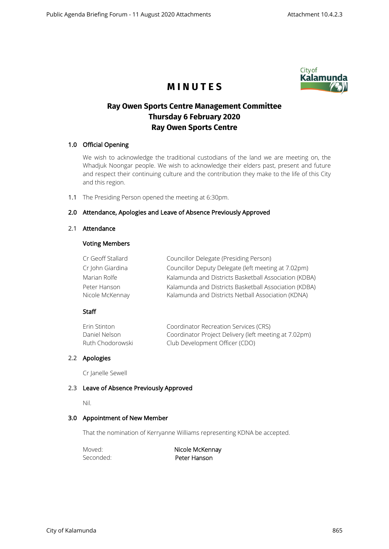

# **M I N U T E S**

# **Ray Owen Sports Centre Management Committee Thursday 6 February 2020 Ray Owen Sports Centre**

# 1.0 Official Opening

We wish to acknowledge the traditional custodians of the land we are meeting on, the Whadjuk Noongar people. We wish to acknowledge their elders past, present and future and respect their continuing culture and the contribution they make to the life of this City and this region.

1.1 The Presiding Person opened the meeting at 6:30pm.

# 2.0 Attendance, Apologies and Leave of Absence Previously Approved

#### 2.1 Attendance

## Voting Members

| Cr Geoff Stallard | Councillor Delegate (Presiding Person)                |
|-------------------|-------------------------------------------------------|
| Cr John Giardina  | Councillor Deputy Delegate (left meeting at 7.02pm)   |
| Marian Rolfe      | Kalamunda and Districts Basketball Association (KDBA) |
| Peter Hanson      | Kalamunda and Districts Basketball Association (KDBA) |
| Nicole McKennay   | Kalamunda and Districts Netball Association (KDNA)    |

## Staff

| Erin Stinton     | Coordinator Recreation Services (CRS)                 |
|------------------|-------------------------------------------------------|
| Daniel Nelson    | Coordinator Project Delivery (left meeting at 7.02pm) |
| Ruth Chodorowski | Club Development Officer (CDO)                        |

# 2.2 Apologies

Cr Janelle Sewell

## 2.3 Leave of Absence Previously Approved

Nil.

## 3.0 Appointment of New Member

That the nomination of Kerryanne Williams representing KDNA be accepted.

Moved: Nicole McKennay Seconded: **Peter Hanson**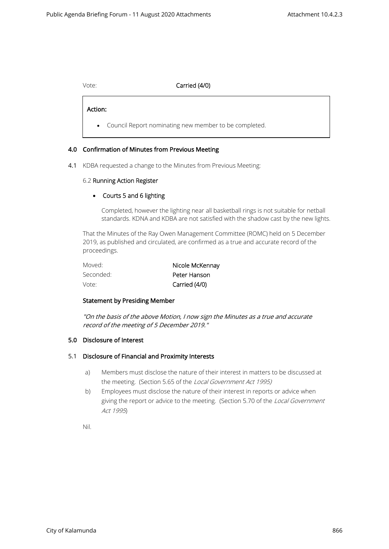# Vote: Carried (4/0)

Action:

 $\overline{\phantom{0}}$ 

• Council Report nominating new member to be completed.

# 4.0 Confirmation of Minutes from Previous Meeting

4.1 KDBA requested a change to the Minutes from Previous Meeting:

## 6.2 Running Action Register

# • Courts 5 and 6 lighting

Completed, however the lighting near all basketball rings is not suitable for netball standards. KDNA and KDBA are not satisfied with the shadow cast by the new lights.

That the Minutes of the Ray Owen Management Committee (ROMC) held on 5 December 2019, as published and circulated, are confirmed as a true and accurate record of the proceedings.

| Moved:    | Nicole McKennay |
|-----------|-----------------|
| Seconded: | Peter Hanson    |
| Vote:     | Carried (4/0)   |

## Statement by Presiding Member

"On the basis of the above Motion, I now sign the Minutes as a true and accurate record of the meeting of 5 December 2019."

## 5.0 Disclosure of Interest

## 5.1 Disclosure of Financial and Proximity Interests

- a) Members must disclose the nature of their interest in matters to be discussed at the meeting. (Section 5.65 of the Local Government Act 1995)
- b) Employees must disclose the nature of their interest in reports or advice when giving the report or advice to the meeting. (Section 5.70 of the Local Government Act 1995)

Nil.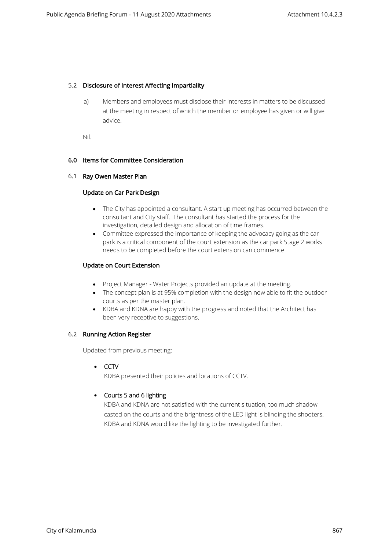## 5.2 Disclosure of Interest Affecting Impartiality

a) Members and employees must disclose their interests in matters to be discussed at the meeting in respect of which the member or employee has given or will give advice.

Nil.

## 6.0 Items for Committee Consideration

#### 6.1 Ray Owen Master Plan

#### Update on Car Park Design

- The City has appointed a consultant. A start up meeting has occurred between the consultant and City staff. The consultant has started the process for the investigation, detailed design and allocation of time frames.
- Committee expressed the importance of keeping the advocacy going as the car park is a critical component of the court extension as the car park Stage 2 works needs to be completed before the court extension can commence.

## Update on Court Extension

- Project Manager Water Projects provided an update at the meeting.
- The concept plan is at 95% completion with the design now able to fit the outdoor courts as per the master plan.
- KDBA and KDNA are happy with the progress and noted that the Architect has been very receptive to suggestions.

## 6.2 Running Action Register

Updated from previous meeting:

• CCTV

KDBA presented their policies and locations of CCTV.

## • Courts 5 and 6 lighting

KDBA and KDNA are not satisfied with the current situation, too much shadow casted on the courts and the brightness of the LED light is blinding the shooters. KDBA and KDNA would like the lighting to be investigated further.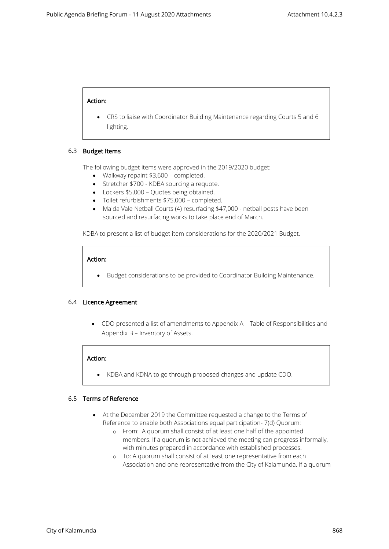## Action:

• CRS to liaise with Coordinator Building Maintenance regarding Courts 5 and 6 lighting.

#### 6.3 Budget Items

The following budget items were approved in the 2019/2020 budget:

- Walkway repaint \$3,600 completed.
- Stretcher \$700 KDBA sourcing a requote.
- Lockers \$5,000 Quotes being obtained.
- Toilet refurbishments \$75,000 completed.
- Maida Vale Netball Courts (4) resurfacing \$47,000 netball posts have been sourced and resurfacing works to take place end of March.

KDBA to present a list of budget item considerations for the 2020/2021 Budget.

# Action:

• Budget considerations to be provided to Coordinator Building Maintenance.

#### 6.4 Licence Agreement

• CDO presented a list of amendments to Appendix A – Table of Responsibilities and Appendix B – Inventory of Assets.

## Action:

• KDBA and KDNA to go through proposed changes and update CDO.

## 6.5 Terms of Reference

- At the December 2019 the Committee requested a change to the Terms of Reference to enable both Associations equal participation- 7(d) Quorum:
	- o From: A quorum shall consist of at least one half of the appointed members. If a quorum is not achieved the meeting can progress informally, with minutes prepared in accordance with established processes.
	- o To: A quorum shall consist of at least one representative from each Association and one representative from the City of Kalamunda. If a quorum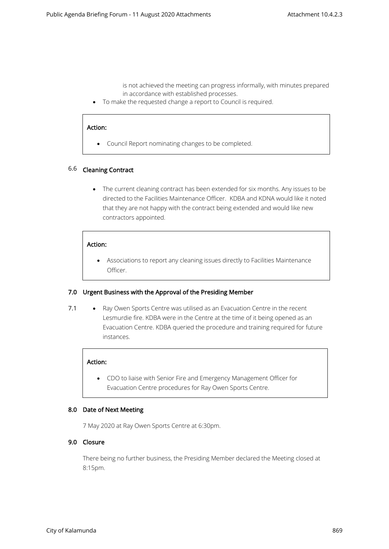is not achieved the meeting can progress informally, with minutes prepared in accordance with established processes.

• To make the requested change a report to Council is required.

#### Action:

• Council Report nominating changes to be completed.

#### 6.6 Cleaning Contract

• The current cleaning contract has been extended for six months. Any issues to be directed to the Facilities Maintenance Officer. KDBA and KDNA would like it noted that they are not happy with the contract being extended and would like new contractors appointed.

#### Action:

• Associations to report any cleaning issues directly to Facilities Maintenance Officer.

#### 7.0 Urgent Business with the Approval of the Presiding Member

7.1 • Ray Owen Sports Centre was utilised as an Evacuation Centre in the recent Lesmurdie fire. KDBA were in the Centre at the time of it being opened as an Evacuation Centre. KDBA queried the procedure and training required for future instances.

#### Action:

• CDO to liaise with Senior Fire and Emergency Management Officer for Evacuation Centre procedures for Ray Owen Sports Centre.

#### 8.0 Date of Next Meeting

7 May 2020 at Ray Owen Sports Centre at 6:30pm.

# 9.0 Closure

There being no further business, the Presiding Member declared the Meeting closed at 8:15pm.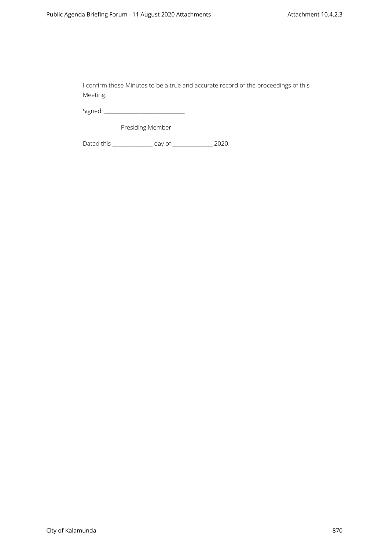I confirm these Minutes to be a true and accurate record of the proceedings of this Meeting.

Signed: \_\_\_\_\_\_\_\_\_\_\_\_\_\_\_\_\_\_\_\_\_\_\_\_\_\_\_\_\_\_\_\_

Presiding Member

Dated this \_\_\_\_\_\_\_\_\_\_\_\_\_\_\_\_ day of \_\_\_\_\_\_\_\_\_\_\_\_\_\_\_\_ 2020.